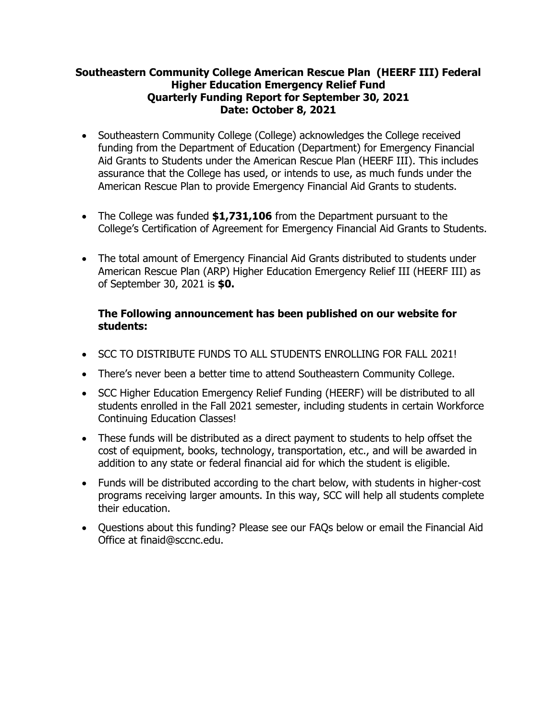## **Southeastern Community College American Rescue Plan (HEERF III) Federal Higher Education Emergency Relief Fund Quarterly Funding Report for September 30, 2021 Date: October 8, 2021**

- Southeastern Community College (College) acknowledges the College received funding from the Department of Education (Department) for Emergency Financial Aid Grants to Students under the American Rescue Plan (HEERF III). This includes assurance that the College has used, or intends to use, as much funds under the American Rescue Plan to provide Emergency Financial Aid Grants to students.
- The College was funded **\$1,731,106** from the Department pursuant to the College's Certification of Agreement for Emergency Financial Aid Grants to Students.
- The total amount of Emergency Financial Aid Grants distributed to students under American Rescue Plan (ARP) Higher Education Emergency Relief III (HEERF III) as of September 30, 2021 is **\$0.**

## **The Following announcement has been published on our website for students:**

- SCC TO DISTRIBUTE FUNDS TO ALL STUDENTS ENROLLING FOR FALL 2021!
- There's never been a better time to attend Southeastern Community College.
- SCC Higher Education Emergency Relief Funding (HEERF) will be distributed to all students enrolled in the Fall 2021 semester, including students in certain Workforce Continuing Education Classes!
- These funds will be distributed as a direct payment to students to help offset the cost of equipment, books, technology, transportation, etc., and will be awarded in addition to any state or federal financial aid for which the student is eligible.
- Funds will be distributed according to the chart below, with students in higher-cost programs receiving larger amounts. In this way, SCC will help all students complete their education.
- Questions about this funding? Please see our FAQs below or email the Financial Aid Office at finaid@sccnc.edu.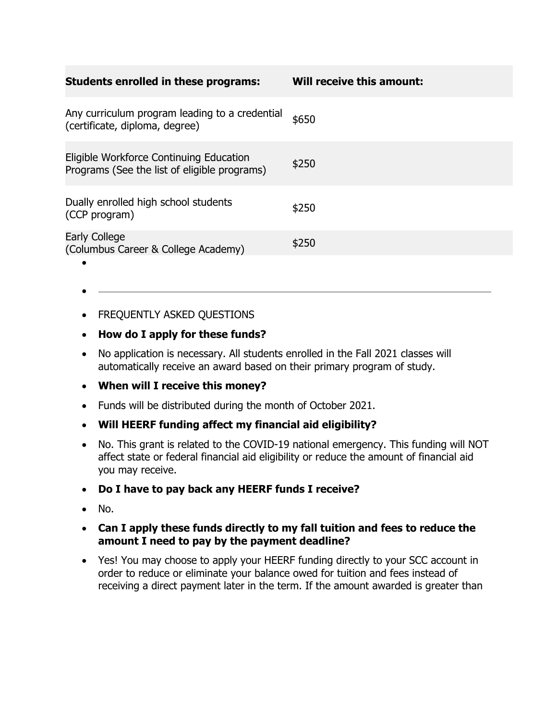| <b>Students enrolled in these programs:</b>                                             | Will receive this amount: |
|-----------------------------------------------------------------------------------------|---------------------------|
| Any curriculum program leading to a credential<br>(certificate, diploma, degree)        | \$650                     |
| Eligible Workforce Continuing Education<br>Programs (See the list of eligible programs) | \$250                     |
| Dually enrolled high school students<br>(CCP program)                                   | \$250                     |
| <b>Early College</b><br>(Columbus Career & College Academy)                             | \$250                     |

- FREQUENTLY ASKED QUESTIONS
- **How do I apply for these funds?**
- No application is necessary. All students enrolled in the Fall 2021 classes will automatically receive an award based on their primary program of study.
- **When will I receive this money?**
- Funds will be distributed during the month of October 2021.
- **Will HEERF funding affect my financial aid eligibility?**
- No. This grant is related to the COVID-19 national emergency. This funding will NOT affect state or federal financial aid eligibility or reduce the amount of financial aid you may receive.
- **Do I have to pay back any HEERF funds I receive?**
- No.

•

- **Can I apply these funds directly to my fall tuition and fees to reduce the amount I need to pay by the payment deadline?**
- Yes! You may choose to apply your HEERF funding directly to your SCC account in order to reduce or eliminate your balance owed for tuition and fees instead of receiving a direct payment later in the term. If the amount awarded is greater than